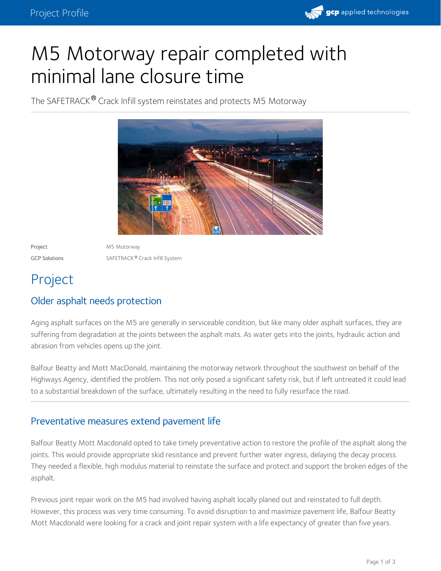

# M5 Motorway repair completed with minimal lane closure time

The SAFETRACK® Crack Infill system reinstates and protects M5 Motorway



Project M5 Motorway GCP Solutions **SAFETRACK<sup>®</sup> Crack Infill System** 

## Project

#### Older asphalt needs protection

Aging asphalt surfaces on the M5 are generally in serviceable condition, but like many older asphalt surfaces, they are suffering from degradation at the joints between the asphalt mats. As water gets into the joints, hydraulic action and abrasion from vehicles opens up the joint.

Balfour Beatty and Mott MacDonald, maintaining the motorway network throughout the southwest on behalf of the Highways Agency, identified the problem. This not only posed a significant safety risk, but if left untreated it could lead to a substantial breakdown of the surface, ultimately resulting in the need to fully resurface the road.

#### Preventative measures extend pavement life

Balfour Beatty Mott Macdonald opted to take timely preventative action to restore the profile of the asphalt along the joints. This would provide appropriate skid resistance and prevent further water ingress, delaying the decay process. They needed a flexible, high modulus material to reinstate the surface and protect and support the broken edges of the asphalt.

Previous joint repair work on the M5 had involved having asphalt locally planed out and reinstated to full depth. However, this process was very time consuming. To avoid disruption to and maximize pavement life, Balfour Beatty Mott Macdonald were looking for a crack and joint repair system with a life expectancy of greater than five years.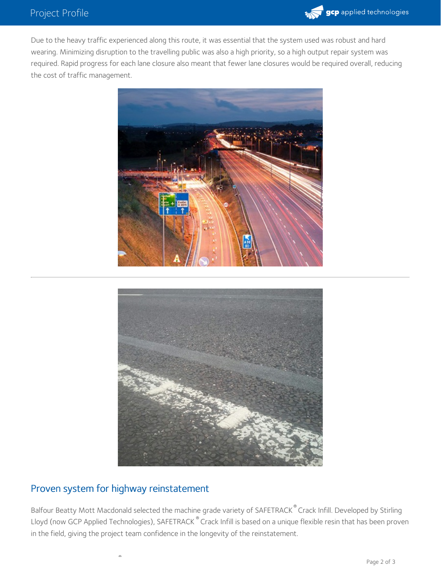

Due to the heavy traffic experienced along this route, it was essential that the system used was robust and hard wearing. Minimizing disruption to the travelling public was also a high priority, so a high output repair system was required. Rapid progress for each lane closure also meant that fewer lane closures would be required overall, reducing the cost of traffic management.





#### Proven system for highway reinstatement

®

Balfour Beatty Mott Macdonald selected the machine grade variety of SAFETRACK® Crack Infill. Developed by Stirling Lloyd (now GCP Applied Technologies), SAFETRACK  $^\circ$  Crack Infill is based on a unique flexible resin that has been proven in the field, giving the project team confidence in the longevity of the reinstatement.